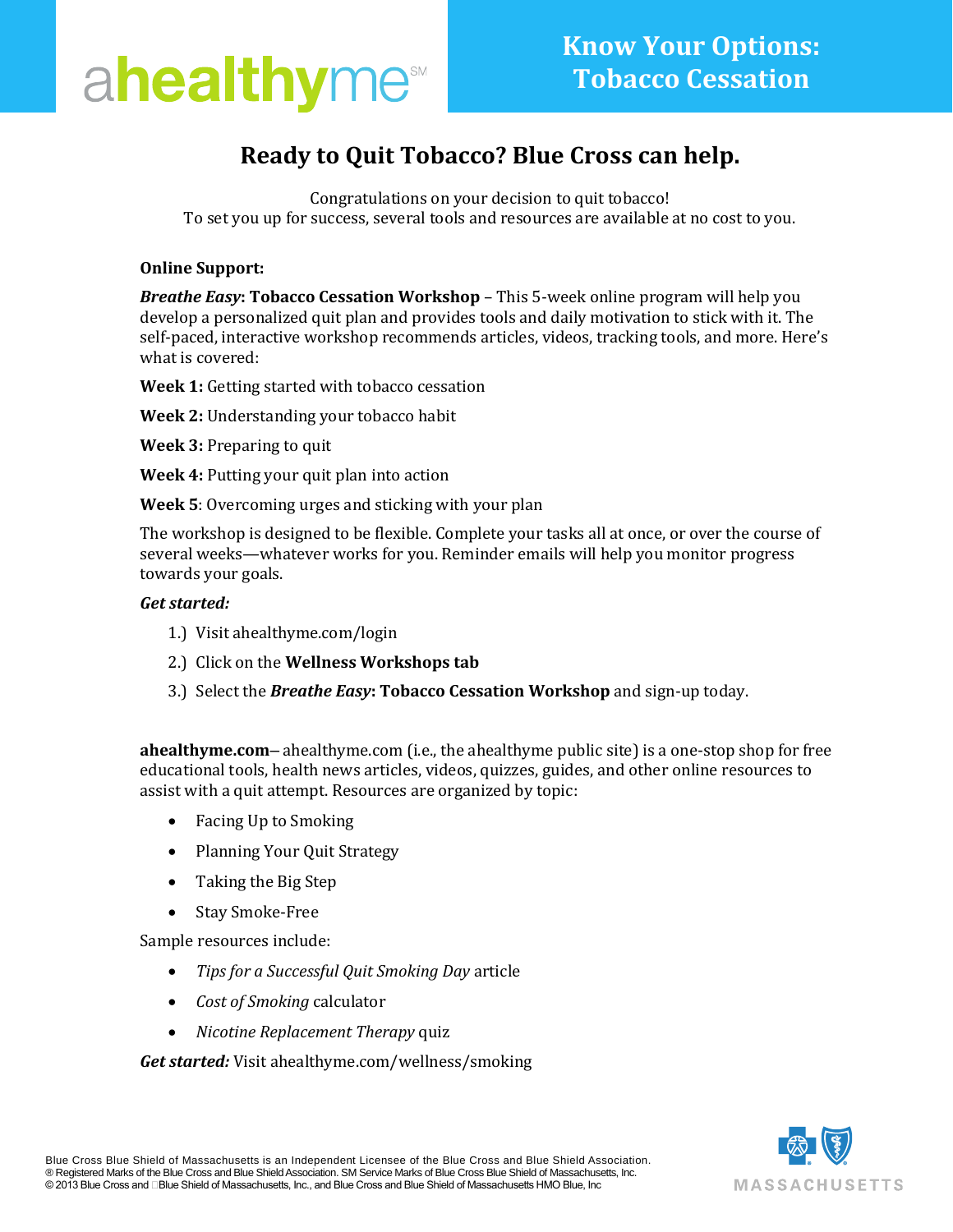

## **Ready to Quit Tobacco? Blue Cross can help.**

Congratulations on your decision to quit tobacco! To set you up for success, several tools and resources are available at no cost to you.

#### **Online Support:**

*Breathe Easy***: Tobacco Cessation Workshop** – This 5-week online program will help you develop a personalized quit plan and provides tools and daily motivation to stick with it. The self-paced, interactive workshop recommends articles, videos, tracking tools, and more. Here's what is covered:

**Week 1:** Getting started with tobacco cessation

**Week 2:** Understanding your tobacco habit

**Week 3:** Preparing to quit

**Week 4:** Putting your quit plan into action

**Week 5**: Overcoming urges and sticking with your plan

The workshop is designed to be flexible. Complete your tasks all at once, or over the course of several weeks—whatever works for you. Reminder emails will help you monitor progress towards your goals.

#### *Get started:*

- 1.) Visit ahealthyme.com/login
- 2.) Click on the **Wellness Workshops tab**
- 3.) Select the *Breathe Easy***: Tobacco Cessation Workshop** and sign-up today.

**ahealthyme.com**– ahealthyme.com (i.e., the ahealthyme public site) is a one-stop shop for free educational tools, health news articles, videos, quizzes, guides, and other online resources to assist with a quit attempt. Resources are organized by topic:

- Facing Up to Smoking
- Planning Your Quit Strategy
- Taking the Big Step
- Stay Smoke-Free

Sample resources include:

- *Tips for a Successful Quit Smoking Day* article
- *Cost of Smoking* calculator
- *Nicotine Replacement Therapy* quiz

*Get started:* Visit ahealthyme.com/wellness/smoking

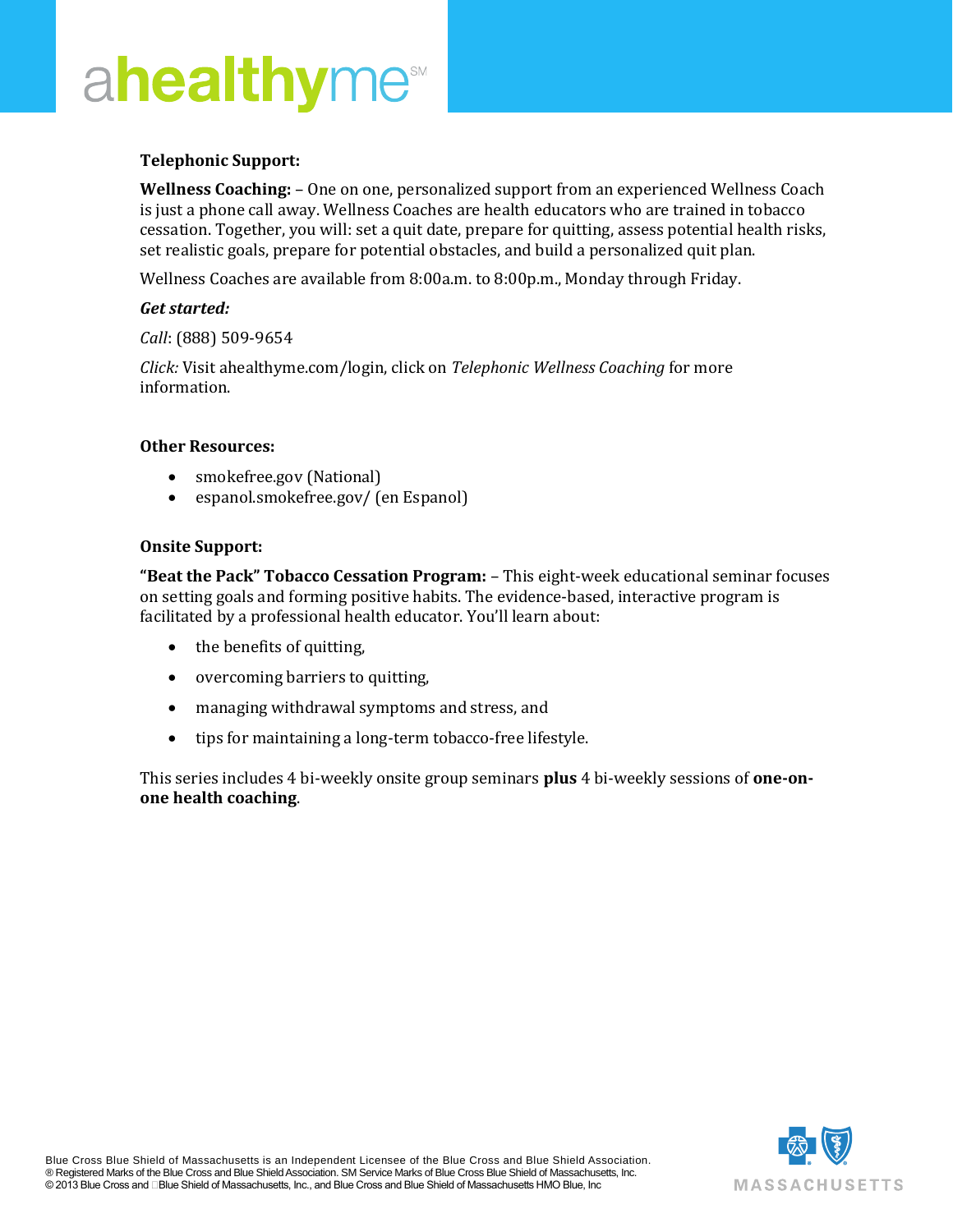# $A \cap \mathbb{R}$  and  $A \cap \mathbb{R}$  and  $A \cap \mathbb{R}$ and PIN codeMoMibMommm

### **Telephonic Support:**

**Wellness Coaching:** – One on one, personalized support from an experienced Wellness Coach is just a phone call away. Wellness Coaches are health educators who are trained in tobacco cessation. Together, you will: set a quit date, prepare for quitting, assess potential health risks, set realistic goals, prepare for potential obstacles, and build a personalized quit plan.

Wellness Coaches are available from 8:00a.m. to 8:00p.m., Monday through Friday.

#### *Get started:*

*Call*: (888) 509-9654

*Click:* Visit ahealthyme.com/login, click on *Telephonic Wellness Coaching* for more information.

#### **Other Resources:**

- smokefree.gov (National)
- [espanol.smokefree.gov/](http://espanol.smokefree.gov/) (en Espanol)

#### **Onsite Support:**

**"Beat the Pack" Tobacco Cessation Program:** – This eight-week educational seminar focuses on setting goals and forming positive habits. The evidence-based, interactive program is facilitated by a professional health educator. You'll learn about:

- the benefits of quitting,
- overcoming barriers to quitting,
- managing withdrawal symptoms and stress, and
- tips for maintaining a long-term tobacco-free lifestyle.

This series includes 4 bi-weekly onsite group seminars **plus** 4 bi-weekly sessions of **one-onone health coaching**.